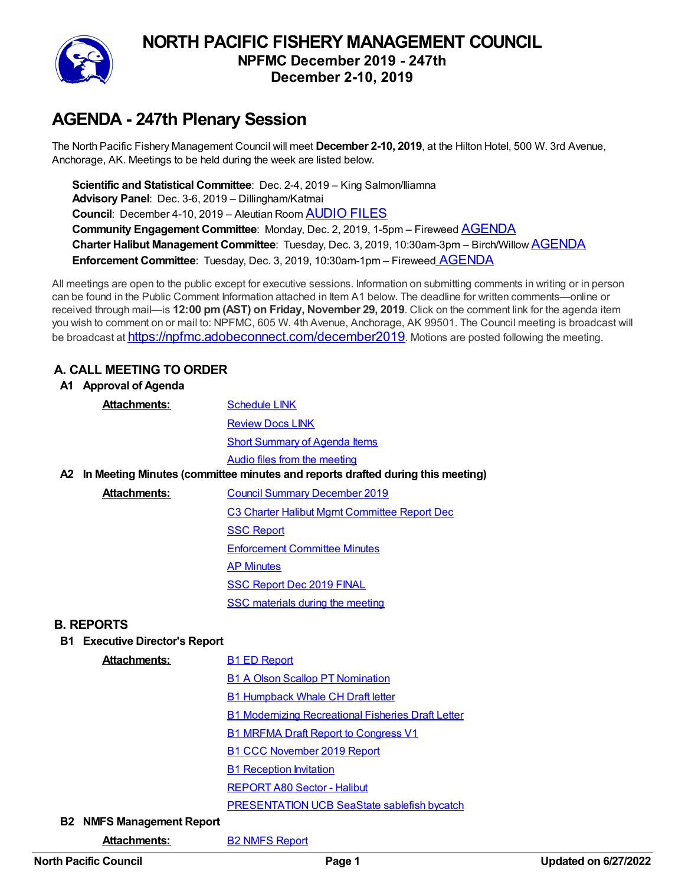

# **NORTH PACIFIC FISHERY MANAGEMENT COUNCIL NPFMC December 2019 - 247th December 2-10, 2019**

# **AGENDA - 247th Plenary Session**

The North Pacific Fishery Management Council will meet **December 2-10, 2019**, at the Hilton Hotel, 500 W. 3rd Avenue, Anchorage, AK. Meetings to be held during the week are listed below.

**Scientific and Statistical Committee**: Dec. 2-4, 2019 – King Salmon/Iliamna **Advisory Panel**: Dec. 3-6, 2019 – Dillingham/Katmai **Council**: December 4-10, 2019 – Aleutian Room [AUDIO](https://app.box.com/s/818cypgl05sxtz20rmyip8vouac6jph5) FILES **Community Engagement Committee**: Monday, Dec. 2, 2019, 1-5pm – Fireweed [AGENDA](https://meetings.npfmc.org/1144) **Charter Halibut Management Committee**: Tuesday, Dec. 3, 2019, 10:30am-3pm – Birch/Willow [AGENDA](https://meetings.npfmc.org/1105) **Enforcement Committee**: Tuesday, Dec. 3, 2019, 10:30am-1pm – Fireweed [AGENDA](https://meetings.npfmc.org/1143)

All meetings are open to the public except for executive sessions. Information on submitting comments in writing or in person can be found in the Public Comment Information attached in Item A1 below. The deadline for written comments—online or received through mail—is **12:00 pm(AST) on Friday, November 29, 2019**. Click on the comment link for the agenda item you wish to comment on or mail to: NPFMC, 605 W. 4th Avenue, Anchorage, AK 99501. The Council meeting is broadcast will be broadcast at <https://npfmc.adobeconnect.com/december2019>. Motions are posted following the meeting.

### **A. CALL MEETING TO ORDER**

| A1   | <b>Approval of Agenda</b>          |                                                                                   |
|------|------------------------------------|-----------------------------------------------------------------------------------|
|      | <b>Attachments:</b>                | <b>Schedule LINK</b>                                                              |
|      |                                    | <b>Review Docs LINK</b>                                                           |
|      |                                    | <b>Short Summary of Agenda Items</b>                                              |
|      |                                    | Audio files from the meeting                                                      |
|      |                                    | A2 In Meeting Minutes (committee minutes and reports drafted during this meeting) |
|      | <b>Attachments:</b>                | <b>Council Summary December 2019</b>                                              |
|      |                                    | C3 Charter Halibut Mgmt Committee Report Dec                                      |
|      |                                    | <b>SSC Report</b>                                                                 |
|      |                                    | <b>Enforcement Committee Minutes</b>                                              |
|      |                                    | <b>AP Minutes</b>                                                                 |
|      |                                    | <b>SSC Report Dec 2019 FINAL</b>                                                  |
|      |                                    | SSC materials during the meeting                                                  |
|      | <b>B. REPORTS</b>                  |                                                                                   |
| B1 . | <b>Executive Director's Report</b> |                                                                                   |
|      | <b>Attachments:</b>                | <b>B1 ED Report</b>                                                               |
|      |                                    | <b>B1 A Olson Scallop PT Nomination</b>                                           |
|      |                                    | <b>B1 Humpback Whale CH Draft letter</b>                                          |
|      |                                    |                                                                                   |

B1 Modernizing [Recreational](https://meetings.npfmc.org/CommentReview/DownloadFile?p=d421fd85-d94c-4935-84e0-588612155db5.pdf&fileName=B1%20Modernizing%20Recreational%20Fisheries%20Draft%20Letter.pdf) Fisheries Draft Letter

B1 MRFMA Draft Report to [Congress](https://meetings.npfmc.org/CommentReview/DownloadFile?p=57ace412-354c-4037-a34e-d51b00e97583.pdf&fileName=B1%20MRFMA%20Draft%20Report%20to%20Congress%20V1.pdf) V1

B1 CCC [November](https://meetings.npfmc.org/CommentReview/DownloadFile?p=798d00ae-f408-4e4f-bc91-aabf7078ba25.pdf&fileName=B1%20CCC%20November%202019%20Report.pdf) 2019 Report

**B1 [Reception](https://meetings.npfmc.org/CommentReview/DownloadFile?p=01dea1ed-0f54-49ae-8cb6-04f7ebc8d9f5.jpg&fileName=B1%20Reception%20Invitation.jpg) Invitation** 

[REPORT](https://meetings.npfmc.org/CommentReview/DownloadFile?p=0a42c2a1-eba2-4565-8623-4f4727a9b8ac.pdf&fileName=REPORT%20A80%20Sector%20-%20Halibut.pdf) A80 Sector - Halibut

[PRESENTATION](https://meetings.npfmc.org/CommentReview/DownloadFile?p=2f2bd71d-e5a1-4f8a-80b6-e5ed692e79d3.pdf&fileName=PRESENTATION%20UCB%20SeaState%20sablefish%20bycatch.pdf) UCB SeaState sablefish bycatch

#### **B2 NMFS Management Report**

Attachments: B2 NMFS [Report](https://meetings.npfmc.org/CommentReview/DownloadFile?p=1e9c0746-818b-4990-a5ed-466a5c0cf7ff.pdf&fileName=B2%20NMFS%20Report.pdf)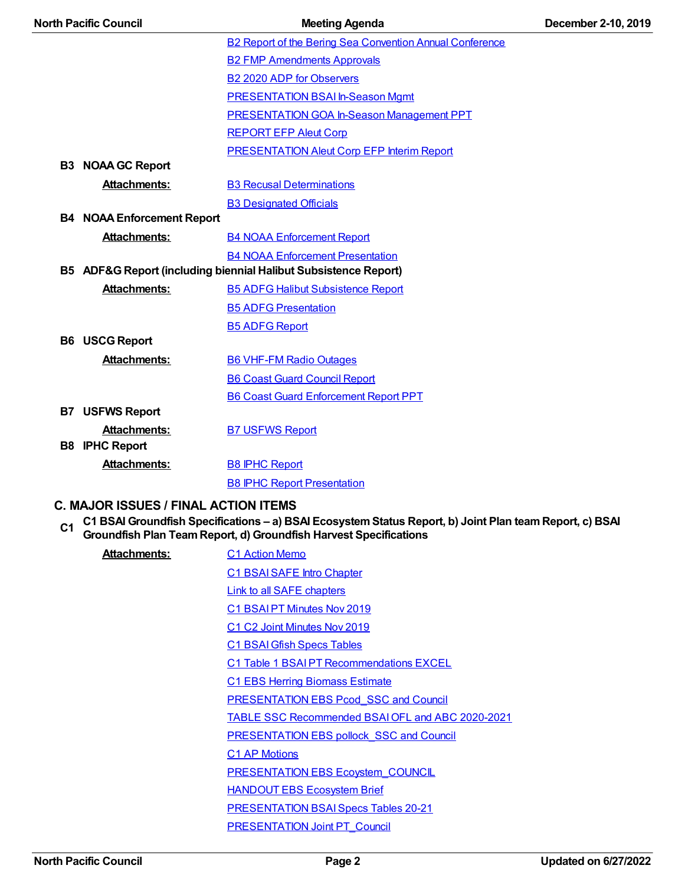| <b>North Pacific Council</b>                                    |                                   | <b>Meeting Agenda</b>                                           | December 2-10, 2019 |
|-----------------------------------------------------------------|-----------------------------------|-----------------------------------------------------------------|---------------------|
|                                                                 |                                   | <b>B2 Report of the Bering Sea Convention Annual Conference</b> |                     |
|                                                                 |                                   | <b>B2 FMP Amendments Approvals</b>                              |                     |
|                                                                 |                                   | <b>B2 2020 ADP for Observers</b>                                |                     |
|                                                                 |                                   | <b>PRESENTATION BSAI In-Season Mgmt</b>                         |                     |
|                                                                 |                                   | <b>PRESENTATION GOA In-Season Management PPT</b>                |                     |
|                                                                 |                                   | <b>REPORT EFP Aleut Corp</b>                                    |                     |
|                                                                 |                                   | <b>PRESENTATION Aleut Corp EFP Interim Report</b>               |                     |
|                                                                 | <b>B3 NOAA GC Report</b>          |                                                                 |                     |
|                                                                 | <b>Attachments:</b>               | <b>B3 Recusal Determinations</b>                                |                     |
|                                                                 |                                   | <b>B3 Designated Officials</b>                                  |                     |
|                                                                 | <b>B4 NOAA Enforcement Report</b> |                                                                 |                     |
|                                                                 | <b>Attachments:</b>               | <b>B4 NOAA Enforcement Report</b>                               |                     |
|                                                                 |                                   | <b>B4 NOAA Enforcement Presentation</b>                         |                     |
| B5 ADF&G Report (including biennial Halibut Subsistence Report) |                                   |                                                                 |                     |
|                                                                 | <b>Attachments:</b>               | <b>B5 ADFG Halibut Subsistence Report</b>                       |                     |
|                                                                 |                                   | <b>B5 ADFG Presentation</b>                                     |                     |
|                                                                 |                                   | <b>B5 ADFG Report</b>                                           |                     |
|                                                                 | <b>B6 USCG Report</b>             |                                                                 |                     |
|                                                                 | <b>Attachments:</b>               | <b>B6 VHF-FM Radio Outages</b>                                  |                     |
|                                                                 |                                   | <b>B6 Coast Guard Council Report</b>                            |                     |
|                                                                 |                                   | <b>B6 Coast Guard Enforcement Report PPT</b>                    |                     |
|                                                                 | <b>B7 USFWS Report</b>            |                                                                 |                     |
|                                                                 | <b>Attachments:</b>               | <b>B7 USFWS Report</b>                                          |                     |
|                                                                 | <b>B8 IPHC Report</b>             |                                                                 |                     |
|                                                                 | <b>Attachments:</b>               | <b>B8 IPHC Report</b>                                           |                     |
|                                                                 |                                   | <b>B8 IPHC Report Presentation</b>                              |                     |
|                                                                 |                                   |                                                                 |                     |

#### **C. MAJOR ISSUES / FINAL ACTION ITEMS**

C1 BSAI Groundfish Specifications – a) BSAI Ecosystem Status Report, b) Joint Plan team Report, c) BSAI<br>Groundfish Plan Team Report, d) Groundfish Harvest Specifications

| Attachments: | <b>C1 Action Memo</b>                                |
|--------------|------------------------------------------------------|
|              | C1 BSAI SAFE Intro Chapter                           |
|              | <b>Link to all SAFE chapters</b>                     |
|              | C1 BSAIPT Minutes Nov 2019                           |
|              | C <sub>1</sub> C <sub>2</sub> Joint Minutes Nov 2019 |
|              | <b>C1 BSAI Gfish Specs Tables</b>                    |
|              | C1 Table 1 BSAIPT Recommendations EXCEL              |
|              | <b>C1 EBS Herring Biomass Estimate</b>               |
|              | <b>PRESENTATION EBS Pcod SSC and Council</b>         |
|              | TABLE SSC Recommended BSAI OFL and ABC 2020-2021     |
|              | <b>PRESENTATION EBS pollock SSC and Council</b>      |
|              | <b>C1 AP Motions</b>                                 |
|              | <b>PRESENTATION EBS Ecoystem COUNCIL</b>             |
|              | <b>HANDOUT EBS Ecosystem Brief</b>                   |
|              | PRESENTATION BSAI Specs Tables 20-21                 |
|              | <b>PRESENTATION Joint PT Council</b>                 |
|              |                                                      |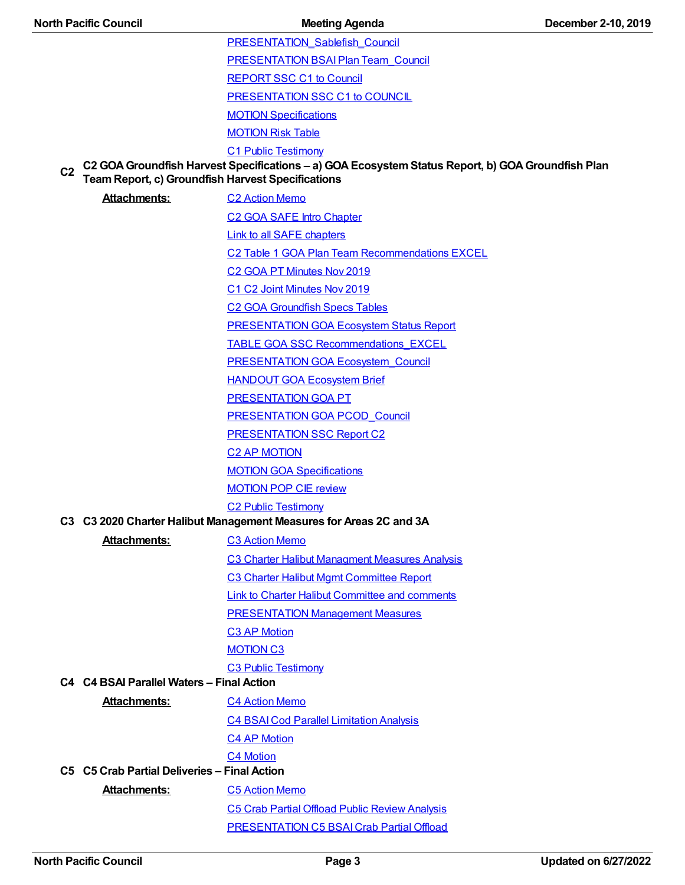[PRESENTATION\\_Sablefish\\_Council](https://meetings.npfmc.org/CommentReview/DownloadFile?p=9449837b-7619-495c-b224-1f51d686cd5c.pdf&fileName=PRESENTATION_Sablefish_Council.pdf) [PRESENTATION](https://meetings.npfmc.org/CommentReview/DownloadFile?p=73e30df8-161b-4a27-9b52-0666d3400e26.pdf&fileName=PRESENTATION%20BSAI%20Plan%20Team_Council.pdf) BSAIPlan Team\_Council

[REPORT](https://meetings.npfmc.org/CommentReview/DownloadFile?p=e8664e3a-58df-4d33-aa89-70117856c8e8.pdf&fileName=REPORT%20SSC%20C1%20to%20Council.pdf) SSC C1 to Council

[PRESENTATION](https://meetings.npfmc.org/CommentReview/DownloadFile?p=3c89592d-31ab-4ae0-b90d-c6f7f3cf36ed.pdf&fileName=PRESENTATION%20SSC%20C1%20to%20COUNCIL.pdf) SSC C1 to COUNCIL

MOTION [Specifications](https://meetings.npfmc.org/CommentReview/DownloadFile?p=f536731f-970c-48c8-8bff-29f3e9f46178.pdf&fileName=MOTION%20Specifications.pdf)

[MOTION](https://meetings.npfmc.org/CommentReview/DownloadFile?p=f77c6e87-66ff-4b87-ba36-98e066e8f0de.pdf&fileName=MOTION%20Risk%20Table.pdf) Risk Table

C1 Public [Testimony](https://meetings.npfmc.org/CommentReview/DownloadFile?p=4d915494-066b-4213-97b5-9bcde56e16e6.pdf&fileName=C1%20Public%20Testimony.pdf)

**C2 C2 GOAGroundfish Harvest Specifications – a) GOAEcosystemStatus Report, b) GOAGroundfish Plan TeamReport, c) Groundfish Harvest Specifications**

Attachments: C<sub>2</sub> [Action](https://meetings.npfmc.org/CommentReview/DownloadFile?p=189a183f-7179-45ef-8f2b-79b895f0c9be.pdf&fileName=C2%20Action%20Memo.pdf) Memo

C2 GOA SAFE Intro [Chapter](https://meetings.npfmc.org/CommentReview/DownloadFile?p=d144b5b2-3294-4a7f-a980-6e47eebd9511.pdf&fileName=C2%20GOA%20SAFE%20Intro%20Chapter.pdf) Link to all SAFE [chapters](https://www.afsc.noaa.gov/refm/stocks/plan_team/2019/NovDraftDocs_2019.htm)

C2 Table 1 GOA Plan Team [Recommendations](https://meetings.npfmc.org/CommentReview/DownloadFile?p=31346982-75a3-4dc9-9563-254a5f744cca.xlsx&fileName=C2%20Table%201%20GOA%20Plan%20Team%20Recommendations%20EXCEL.xlsx) EXCEL

C2 GOA PT [Minutes](https://meetings.npfmc.org/CommentReview/DownloadFile?p=8f74fcfc-ab86-4acb-8b39-06a4014053d2.pdf&fileName=C2%20GOA%20PT%20Minutes%20Nov%202019.pdf) Nov 2019

C1 C2 Joint [Minutes](https://meetings.npfmc.org/CommentReview/DownloadFile?p=665dbfd6-7bdb-405a-98b5-1191be36a7dd.pdf&fileName=C1%20C2%20Joint%20Minutes%20Nov%202019.pdf) Nov 2019

C2 GOA [Groundfish](https://meetings.npfmc.org/CommentReview/DownloadFile?p=6ee56887-fc8b-4195-88b2-dd7659529520.pdf&fileName=C2%20GOA%20Groundfish%20Specs%20Tables.pdf) Specs Tables

[PRESENTATION](https://meetings.npfmc.org/CommentReview/DownloadFile?p=cd0ebbd2-52f1-4c0e-a18b-7d75759a4cda.pdf&fileName=PRESENTATION%20GOA%20Ecosystem%20Status%20Report.pdf) GOA Ecosystem Status Report

TABLE GOA SSC [Recommendations\\_EXCEL](https://meetings.npfmc.org/CommentReview/DownloadFile?p=c07de977-3240-4bf9-9a91-d8ad0efffc38.xlsx&fileName=TABLE%20GOA%20SSC%20Recommendations_EXCEL.xlsx)

PRESENTATION GOA [Ecosystem\\_Council](https://meetings.npfmc.org/CommentReview/DownloadFile?p=073e4bed-0b1b-4e35-ac36-422f174eee56.pdf&fileName=PRESENTATION%20GOA%20Ecosystem_Council.pdf)

[HANDOUT](https://meetings.npfmc.org/CommentReview/DownloadFile?p=c4be317c-923f-483d-8201-1feb4dd5a526.pdf&fileName=HANDOUT%20GOA%20Ecosystem%20Brief.pdf) GOA Ecosystem Brief

[PRESENTATION](https://meetings.npfmc.org/CommentReview/DownloadFile?p=4c6fcece-fd2e-44d2-90b3-d25ebbc2a7c6.pdf&fileName=PRESENTATION%20GOA%20PT.pdf) GOA PT

[PRESENTATION](https://meetings.npfmc.org/CommentReview/DownloadFile?p=3b77f86a-2be2-41ee-a2fe-55e2866950be.pdf&fileName=PRESENTATION%20GOA%20PCOD_Council.pdf) GOA PCOD\_Council

[PRESENTATION](https://meetings.npfmc.org/CommentReview/DownloadFile?p=28eab9bd-676e-4e4e-b9b3-f71b82177c3f.pdf&fileName=PRESENTATION%20SSC%20Report%20C2.pdf) SSC Report C2

C2 AP [MOTION](https://meetings.npfmc.org/CommentReview/DownloadFile?p=7abd6c22-ad2c-4bad-9cda-c4c5ce96df42.pdf&fileName=C2%20AP%20MOTION.pdf)

MOTION GOA [Specifications](https://meetings.npfmc.org/CommentReview/DownloadFile?p=c5e33c24-4140-4592-a84d-50343fa8bcef.pdf&fileName=MOTION%20GOA%20Specifications.pdf)

[MOTION](https://meetings.npfmc.org/CommentReview/DownloadFile?p=b5ef0701-797e-4ae8-887b-38c4224cf879.pdf&fileName=MOTION%20POP%20CIE%20review.pdf) POP CIE review

C2 Public [Testimony](https://meetings.npfmc.org/CommentReview/DownloadFile?p=c74e10f4-b947-4c87-8eea-87b3fe0e6480.pdf&fileName=C2%20Public%20Testimony.pdf)

#### **C3 C3 2020 Charter Halibut Management Measures for Areas 2C and 3A**

Attachments: C3 [Action](https://meetings.npfmc.org/CommentReview/DownloadFile?p=8df657c6-ed0a-4fd3-981a-7e7e5d04fb8a.pdf&fileName=C3%20Action%20Memo.pdf) Memo C3 Charter Halibut [Managment](https://meetings.npfmc.org/CommentReview/DownloadFile?p=73dcb335-e660-4bd0-9903-b9c126884484.pdf&fileName=C3%20Charter%20Halibut%20Managment%20Measures%20Analysis.pdf) Measures Analysis C3 Charter Halibut Mgmt [Committee](https://meetings.npfmc.org/CommentReview/DownloadFile?p=08a29b9e-3cfe-4e5d-9a4c-a5dac94e8b7c.pdf&fileName=C3%20Charter%20Halibut%20Mgmt%20Committee%20Report.pdf) Report Link to Charter Halibut [Committee](https://meetings.npfmc.org/Meeting/Details/1105) and comments [PRESENTATION](https://meetings.npfmc.org/CommentReview/DownloadFile?p=7308bd1b-b59a-4790-bdfb-2cf2dcbda91d.pdf&fileName=PRESENTATION%20Management%20Measures.pdf) Management Measures **C3 AP [Motion](https://meetings.npfmc.org/CommentReview/DownloadFile?p=44ab2788-4133-4ef8-97d7-ac018f84bfb0.pdf&fileName=C3%20AP%20Motion%20.pdf)** [MOTION](https://meetings.npfmc.org/CommentReview/DownloadFile?p=760473a1-d846-4c46-810b-6a7d6a2a854d.pdf&fileName=MOTION%20C3.pdf) C3 C3 Public [Testimony](https://meetings.npfmc.org/CommentReview/DownloadFile?p=6184f182-c0c6-4688-bbe3-178dda3d3707.pdf&fileName=C3%20Public%20Testimony.pdf) **C4 C4 BSAI Parallel Waters – Final Action** Attachments: C4 [Action](https://meetings.npfmc.org/CommentReview/DownloadFile?p=f32c7c38-ac17-4906-8d3c-58805e6a8fe5.pdf&fileName=C4%20Action%20Memo.pdf) Memo C4 [BSAICod](https://meetings.npfmc.org/CommentReview/DownloadFile?p=78982c97-5d3f-4d60-9807-ce79b02164ef.pdf&fileName=C4%20BSAI%20Cod%20Parallel%20Limitation%20Analysis.pdf) Parallel Limitation Analysis C4 AP [Motion](https://meetings.npfmc.org/CommentReview/DownloadFile?p=144c6f2d-7936-45ea-9aa4-89a4e68adce4.pdf&fileName=C4%20AP%20Motion.pdf) C4 [Motion](https://meetings.npfmc.org/CommentReview/DownloadFile?p=c38ef28a-3475-4e8e-8abd-0f8fcd240e51.pdf&fileName=C4%20Motion.pdf) **C5 C5 Crab Partial Deliveries – Final Action Attachments:** C5 [Action](https://meetings.npfmc.org/CommentReview/DownloadFile?p=fa6345b7-cad7-4595-a6b4-f6107d235a38.pdf&fileName=C5%20Action%20Memo.pdf) Memo C5 Crab Partial Offload Public Review [Analysis](https://meetings.npfmc.org/CommentReview/DownloadFile?p=38007a2d-436b-45b0-877d-bde57cdb3e5e.pdf&fileName=C5%20Crab%20Partial%20Offload%20Public%20Review%20Analysis.pdf) [PRESENTATION](https://meetings.npfmc.org/CommentReview/DownloadFile?p=8f3370a7-c04a-40ab-b496-5154fd894258.pdf&fileName=PRESENTATION%20C5%20BSAI%20Crab%20Partial%20Offload.pdf) C5 BSAICrab Partial Offload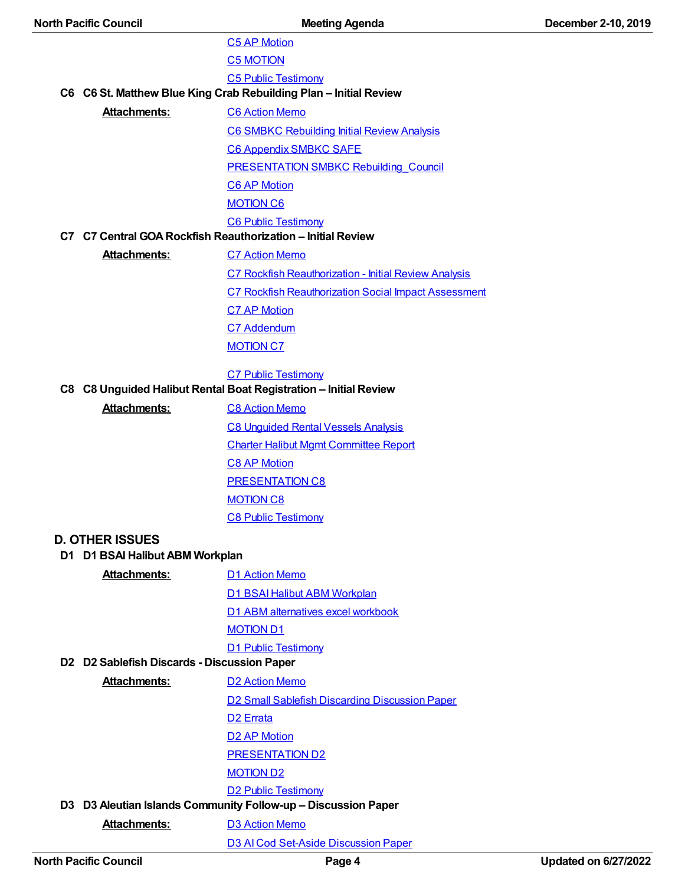| <b>North Pacific Council</b>                                  | <b>Meeting Agenda</b>                                             | December 2-10, 2019 |
|---------------------------------------------------------------|-------------------------------------------------------------------|---------------------|
|                                                               | <b>C5 AP Motion</b>                                               |                     |
|                                                               | <b>C5 MOTION</b>                                                  |                     |
|                                                               | <b>C5 Public Testimony</b>                                        |                     |
|                                                               | C6 C6 St. Matthew Blue King Crab Rebuilding Plan - Initial Review |                     |
| <b>Attachments:</b>                                           | <b>C6 Action Memo</b>                                             |                     |
|                                                               | <b>C6 SMBKC Rebuilding Initial Review Analysis</b>                |                     |
|                                                               | <b>C6 Appendix SMBKC SAFE</b>                                     |                     |
|                                                               | <b>PRESENTATION SMBKC Rebuilding Council</b>                      |                     |
|                                                               | <b>C6 AP Motion</b>                                               |                     |
|                                                               | <b>MOTION C6</b>                                                  |                     |
|                                                               | <b>C6 Public Testimony</b>                                        |                     |
|                                                               | C7 C7 Central GOA Rockfish Reauthorization - Initial Review       |                     |
| <b>Attachments:</b>                                           | <b>C7 Action Memo</b>                                             |                     |
|                                                               | C7 Rockfish Reauthorization - Initial Review Analysis             |                     |
|                                                               | <b>C7 Rockfish Reauthorization Social Impact Assessment</b>       |                     |
|                                                               | <b>C7 AP Motion</b>                                               |                     |
|                                                               | C7 Addendum                                                       |                     |
|                                                               | <b>MOTION C7</b>                                                  |                     |
|                                                               | <b>C7 Public Testimony</b>                                        |                     |
|                                                               | C8 C8 Unguided Halibut Rental Boat Registration - Initial Review  |                     |
| <b>Attachments:</b>                                           | <b>C8 Action Memo</b>                                             |                     |
|                                                               | <b>C8 Unguided Rental Vessels Analysis</b>                        |                     |
|                                                               | <b>Charter Halibut Mgmt Committee Report</b>                      |                     |
|                                                               | <b>C8 AP Motion</b>                                               |                     |
|                                                               | <b>PRESENTATION C8</b>                                            |                     |
|                                                               | <b>MOTION C8</b>                                                  |                     |
|                                                               | <b>C8 Public Testimony</b>                                        |                     |
| <b>D. OTHER ISSUES</b>                                        |                                                                   |                     |
| D1 D1 BSAI Halibut ABM Workplan                               |                                                                   |                     |
| <b>Attachments:</b>                                           | <b>D1 Action Memo</b>                                             |                     |
|                                                               | D1 BSAI Halibut ABM Workplan                                      |                     |
|                                                               | D1 ABM alternatives excel workbook                                |                     |
|                                                               | <b>MOTION D1</b>                                                  |                     |
|                                                               | <b>D1 Public Testimony</b>                                        |                     |
| D2 D2 Sablefish Discards - Discussion Paper                   |                                                                   |                     |
| <b>Attachments:</b>                                           | <b>D2 Action Memo</b>                                             |                     |
|                                                               | D2 Small Sablefish Discarding Discussion Paper                    |                     |
|                                                               | D <sub>2</sub> Errata                                             |                     |
|                                                               | <b>D2 AP Motion</b>                                               |                     |
|                                                               | <b>PRESENTATION D2</b>                                            |                     |
|                                                               | <b>MOTION D2</b>                                                  |                     |
|                                                               | <b>D2 Public Testimony</b>                                        |                     |
| D3 D3 Aleutian Islands Community Follow-up - Discussion Paper |                                                                   |                     |
| <b>Attachments:</b>                                           | <b>D3 Action Memo</b>                                             |                     |
|                                                               | D3 Al Cod Set-Aside Discussion Paper                              |                     |